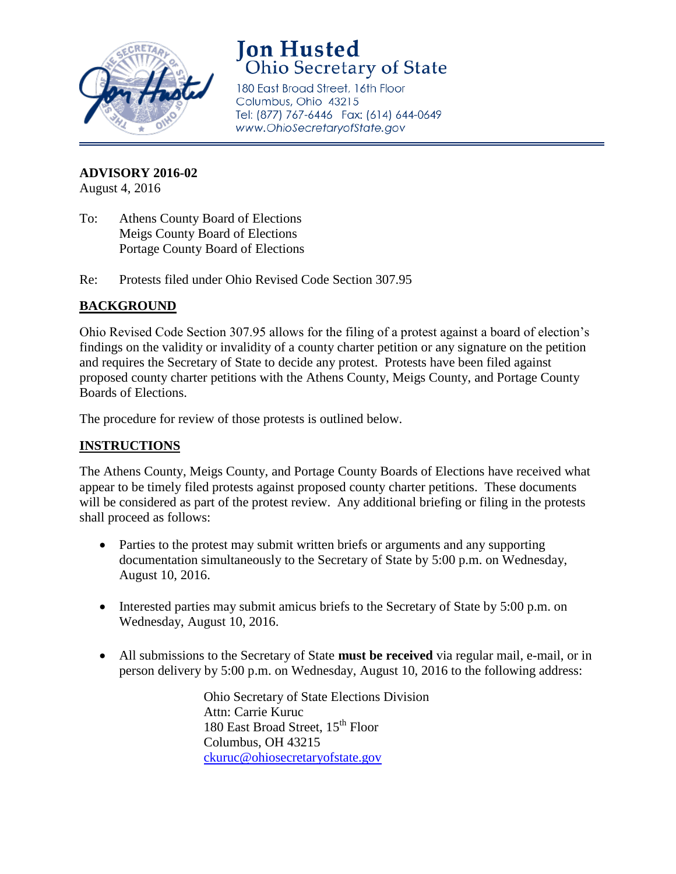

## **Jon Husted Ohio Secretary of State**

180 East Broad Street, 16th Floor Columbus, Ohio 43215 Tel: (877) 767-6446 Fax: (614) 644-0649 www.OhioSecretaryofState.gov

**ADVISORY 2016-02**

August 4, 2016

- To: Athens County Board of Elections Meigs County Board of Elections Portage County Board of Elections
- Re: Protests filed under Ohio Revised Code Section 307.95

## **BACKGROUND**

Ohio Revised Code Section 307.95 allows for the filing of a protest against a board of election's findings on the validity or invalidity of a county charter petition or any signature on the petition and requires the Secretary of State to decide any protest. Protests have been filed against proposed county charter petitions with the Athens County, Meigs County, and Portage County Boards of Elections.

The procedure for review of those protests is outlined below.

## **INSTRUCTIONS**

The Athens County, Meigs County, and Portage County Boards of Elections have received what appear to be timely filed protests against proposed county charter petitions. These documents will be considered as part of the protest review. Any additional briefing or filing in the protests shall proceed as follows:

- Parties to the protest may submit written briefs or arguments and any supporting documentation simultaneously to the Secretary of State by 5:00 p.m. on Wednesday, August 10, 2016.
- Interested parties may submit amicus briefs to the Secretary of State by 5:00 p.m. on Wednesday, August 10, 2016.
- All submissions to the Secretary of State **must be received** via regular mail, e-mail, or in person delivery by 5:00 p.m. on Wednesday, August 10, 2016 to the following address:

Ohio Secretary of State Elections Division Attn: Carrie Kuruc 180 East Broad Street, 15<sup>th</sup> Floor Columbus, OH 43215 [ckuruc@ohiosecretaryofstate.gov](mailto:ckuruc@ohiosecretaryofstate.gov)